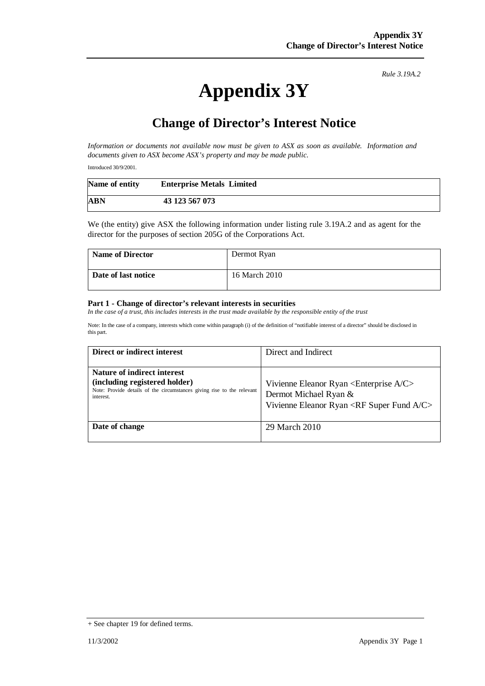*Rule 3.19A.2*

## **Appendix 3Y**

## **Change of Director's Interest Notice**

*Information or documents not available now must be given to ASX as soon as available. Information and documents given to ASX become ASX's property and may be made public.* 

Introduced 30/9/2001.

| Name of entity | <b>Enterprise Metals Limited</b> |
|----------------|----------------------------------|
| ABN            | 43 123 567 073                   |

We (the entity) give ASX the following information under listing rule 3.19A.2 and as agent for the director for the purposes of section 205G of the Corporations Act.

| <b>Name of Director</b> | Dermot Ryan   |
|-------------------------|---------------|
| Date of last notice     | 16 March 2010 |

## **Part 1 - Change of director's relevant interests in securities**

*In the case of a trust, this includes interests in the trust made available by the responsible entity of the trust* 

Note: In the case of a company, interests which come within paragraph (i) of the definition of "notifiable interest of a director" should be disclosed in this part.

| Direct or indirect interest                                                                                                                         | Direct and Indirect                                                                                                                                    |
|-----------------------------------------------------------------------------------------------------------------------------------------------------|--------------------------------------------------------------------------------------------------------------------------------------------------------|
| Nature of indirect interest<br>(including registered holder)<br>Note: Provide details of the circumstances giving rise to the relevant<br>interest. | Vivienne Eleanor Ryan <enterprise a="" c=""><br/>Dermot Michael Ryan &amp;<br/>Vivienne Eleanor Ryan <rf a="" c="" fund="" super=""></rf></enterprise> |
| Date of change                                                                                                                                      | 29 March 2010                                                                                                                                          |

<sup>+</sup> See chapter 19 for defined terms.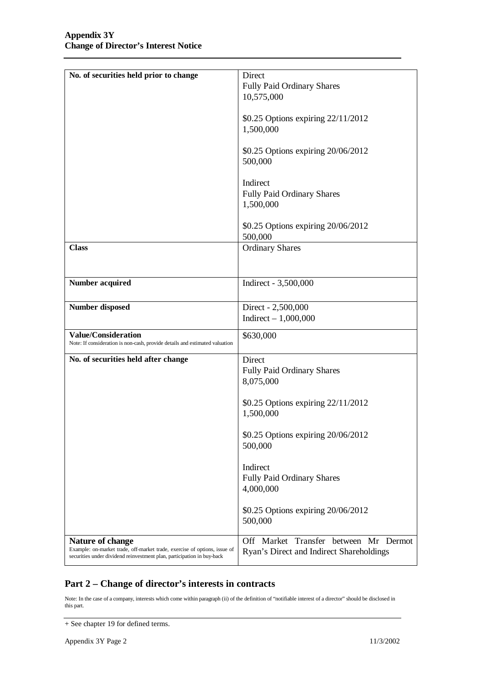| No. of securities held prior to change                                      | Direct                                   |
|-----------------------------------------------------------------------------|------------------------------------------|
|                                                                             | <b>Fully Paid Ordinary Shares</b>        |
|                                                                             | 10,575,000                               |
|                                                                             |                                          |
|                                                                             | \$0.25 Options expiring 22/11/2012       |
|                                                                             | 1,500,000                                |
|                                                                             |                                          |
|                                                                             | \$0.25 Options expiring 20/06/2012       |
|                                                                             | 500,000                                  |
|                                                                             |                                          |
|                                                                             | Indirect                                 |
|                                                                             | Fully Paid Ordinary Shares               |
|                                                                             | 1,500,000                                |
|                                                                             |                                          |
|                                                                             | \$0.25 Options expiring 20/06/2012       |
|                                                                             | 500,000                                  |
| <b>Class</b>                                                                |                                          |
|                                                                             | <b>Ordinary Shares</b>                   |
|                                                                             |                                          |
|                                                                             |                                          |
| <b>Number acquired</b>                                                      | Indirect - 3,500,000                     |
|                                                                             |                                          |
| <b>Number disposed</b>                                                      | Direct - 2,500,000                       |
|                                                                             | Indirect $-1,000,000$                    |
|                                                                             |                                          |
| <b>Value/Consideration</b>                                                  | \$630,000                                |
| Note: If consideration is non-cash, provide details and estimated valuation |                                          |
| No. of securities held after change                                         | Direct                                   |
|                                                                             | <b>Fully Paid Ordinary Shares</b>        |
|                                                                             | 8,075,000                                |
|                                                                             |                                          |
|                                                                             | \$0.25 Options expiring 22/11/2012       |
|                                                                             | 1,500,000                                |
|                                                                             |                                          |
|                                                                             | \$0.25 Options expiring 20/06/2012       |
|                                                                             | 500,000                                  |
|                                                                             |                                          |
|                                                                             | Indirect                                 |
|                                                                             | Fully Paid Ordinary Shares               |
|                                                                             | 4,000,000                                |
|                                                                             |                                          |
|                                                                             | \$0.25 Options expiring 20/06/2012       |
|                                                                             | 500,000                                  |
|                                                                             |                                          |
| Nature of change                                                            | Off Market Transfer between Mr Dermot    |
| Example: on-market trade, off-market trade, exercise of options, issue of   | Ryan's Direct and Indirect Shareholdings |
| securities under dividend reinvestment plan, participation in buy-back      |                                          |

## **Part 2 – Change of director's interests in contracts**

Note: In the case of a company, interests which come within paragraph (ii) of the definition of "notifiable interest of a director" should be disclosed in this part.

<sup>+</sup> See chapter 19 for defined terms.